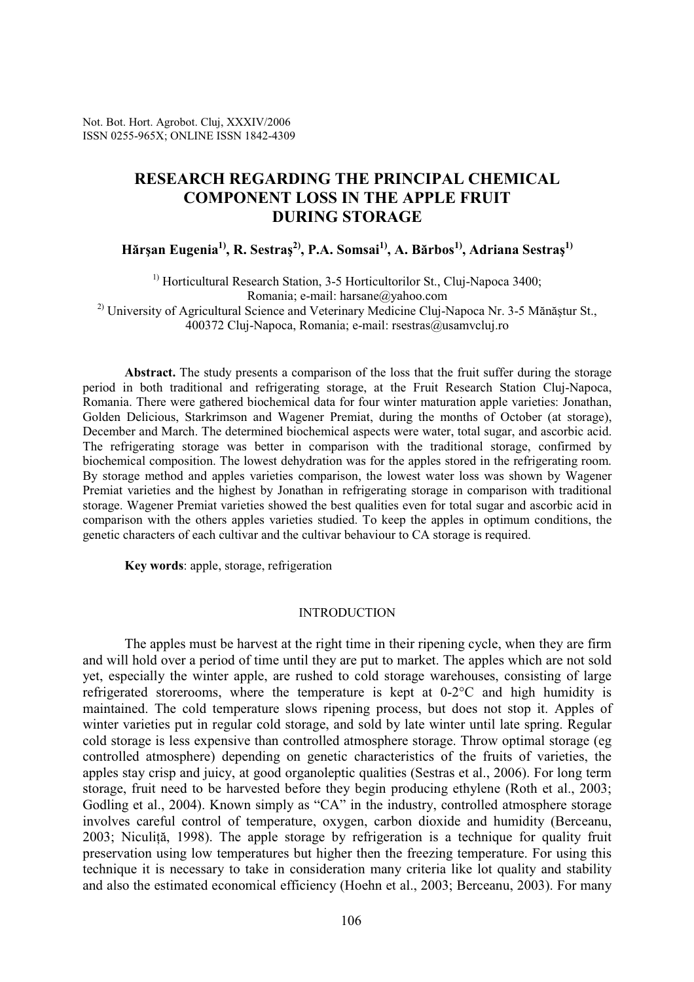Not. Bot. Hort. Agrobot. Cluj, XXXIV/2006 ISSN 0255-965X; ONLINE ISSN 1842-4309

# RESEARCH REGARDING THE PRINCIPAL CHEMICAL COMPONENT LOSS IN THE APPLE FRUIT DURING STORAGE

Hărșan Eugenia<sup>1)</sup>, R. Sestraș<sup>2)</sup>, P.A. Somsai<sup>1)</sup>, A. Bărbos<sup>1)</sup>, Adriana Sestraș<sup>1)</sup>

<sup>1)</sup> Horticultural Research Station, 3-5 Horticultorilor St., Cluj-Napoca 3400; Romania; e-mail: harsane@yahoo.com  $^{2)}$  University of Agricultural Science and Veterinary Medicine Cluj-Napoca Nr. 3-5 Mănăștur St., 400372 Cluj-Napoca, Romania; e-mail: rsestras@usamvcluj.ro

Abstract. The study presents a comparison of the loss that the fruit suffer during the storage period in both traditional and refrigerating storage, at the Fruit Research Station Cluj-Napoca, Romania. There were gathered biochemical data for four winter maturation apple varieties: Jonathan, Golden Delicious, Starkrimson and Wagener Premiat, during the months of October (at storage), December and March. The determined biochemical aspects were water, total sugar, and ascorbic acid. The refrigerating storage was better in comparison with the traditional storage, confirmed by biochemical composition. The lowest dehydration was for the apples stored in the refrigerating room. By storage method and apples varieties comparison, the lowest water loss was shown by Wagener Premiat varieties and the highest by Jonathan in refrigerating storage in comparison with traditional storage. Wagener Premiat varieties showed the best qualities even for total sugar and ascorbic acid in comparison with the others apples varieties studied. To keep the apples in optimum conditions, the genetic characters of each cultivar and the cultivar behaviour to CA storage is required.

Key words: apple, storage, refrigeration

#### **INTRODUCTION**

The apples must be harvest at the right time in their ripening cycle, when they are firm and will hold over a period of time until they are put to market. The apples which are not sold yet, especially the winter apple, are rushed to cold storage warehouses, consisting of large refrigerated storerooms, where the temperature is kept at 0-2°C and high humidity is maintained. The cold temperature slows ripening process, but does not stop it. Apples of winter varieties put in regular cold storage, and sold by late winter until late spring. Regular cold storage is less expensive than controlled atmosphere storage. Throw optimal storage (eg controlled atmosphere) depending on genetic characteristics of the fruits of varieties, the apples stay crisp and juicy, at good organoleptic qualities (Sestras et al., 2006). For long term storage, fruit need to be harvested before they begin producing ethylene (Roth et al., 2003; Godling et al., 2004). Known simply as "CA" in the industry, controlled atmosphere storage involves careful control of temperature, oxygen, carbon dioxide and humidity (Berceanu, 2003; Niculită, 1998). The apple storage by refrigeration is a technique for quality fruit preservation using low temperatures but higher then the freezing temperature. For using this technique it is necessary to take in consideration many criteria like lot quality and stability and also the estimated economical efficiency (Hoehn et al., 2003; Berceanu, 2003). For many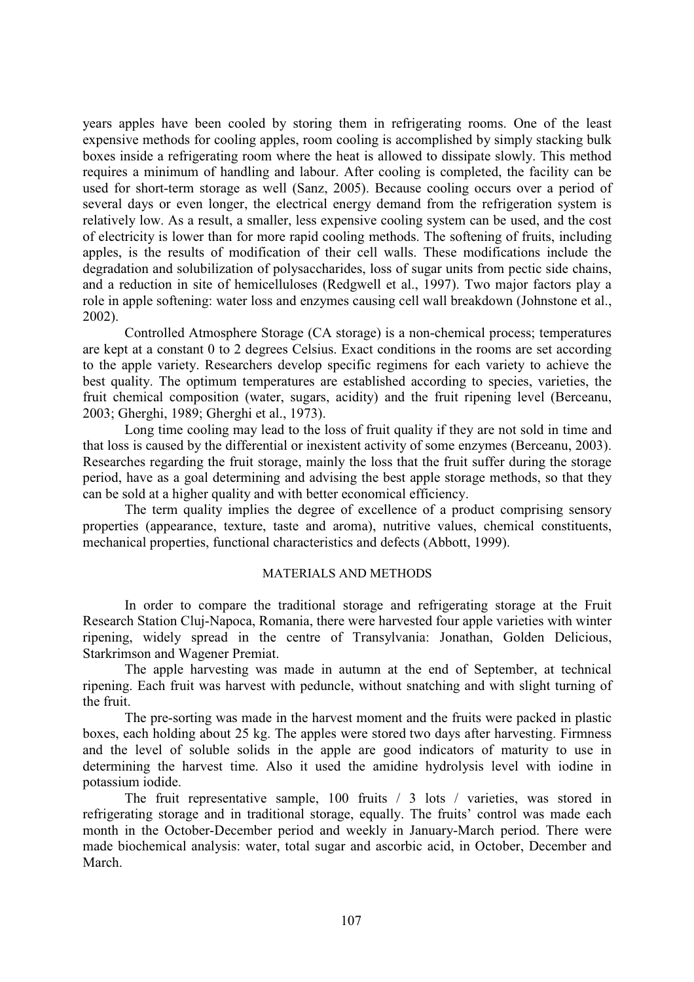years apples have been cooled by storing them in refrigerating rooms. One of the least expensive methods for cooling apples, room cooling is accomplished by simply stacking bulk boxes inside a refrigerating room where the heat is allowed to dissipate slowly. This method requires a minimum of handling and labour. After cooling is completed, the facility can be used for short-term storage as well (Sanz, 2005). Because cooling occurs over a period of several days or even longer, the electrical energy demand from the refrigeration system is relatively low. As a result, a smaller, less expensive cooling system can be used, and the cost of electricity is lower than for more rapid cooling methods. The softening of fruits, including apples, is the results of modification of their cell walls. These modifications include the degradation and solubilization of polysaccharides, loss of sugar units from pectic side chains, and a reduction in site of hemicelluloses (Redgwell et al., 1997). Two major factors play a role in apple softening: water loss and enzymes causing cell wall breakdown (Johnstone et al., 2002).

Controlled Atmosphere Storage (CA storage) is a non-chemical process; temperatures are kept at a constant 0 to 2 degrees Celsius. Exact conditions in the rooms are set according to the apple variety. Researchers develop specific regimens for each variety to achieve the best quality. The optimum temperatures are established according to species, varieties, the fruit chemical composition (water, sugars, acidity) and the fruit ripening level (Berceanu, 2003; Gherghi, 1989; Gherghi et al., 1973).

Long time cooling may lead to the loss of fruit quality if they are not sold in time and that loss is caused by the differential or inexistent activity of some enzymes (Berceanu, 2003). Researches regarding the fruit storage, mainly the loss that the fruit suffer during the storage period, have as a goal determining and advising the best apple storage methods, so that they can be sold at a higher quality and with better economical efficiency.

The term quality implies the degree of excellence of a product comprising sensory properties (appearance, texture, taste and aroma), nutritive values, chemical constituents, mechanical properties, functional characteristics and defects (Abbott, 1999).

# MATERIALS AND METHODS

In order to compare the traditional storage and refrigerating storage at the Fruit Research Station Cluj-Napoca, Romania, there were harvested four apple varieties with winter ripening, widely spread in the centre of Transylvania: Jonathan, Golden Delicious, Starkrimson and Wagener Premiat.

The apple harvesting was made in autumn at the end of September, at technical ripening. Each fruit was harvest with peduncle, without snatching and with slight turning of the fruit.

The pre-sorting was made in the harvest moment and the fruits were packed in plastic boxes, each holding about 25 kg. The apples were stored two days after harvesting. Firmness and the level of soluble solids in the apple are good indicators of maturity to use in determining the harvest time. Also it used the amidine hydrolysis level with iodine in potassium iodide.

The fruit representative sample, 100 fruits / 3 lots / varieties, was stored in refrigerating storage and in traditional storage, equally. The fruits' control was made each month in the October-December period and weekly in January-March period. There were made biochemical analysis: water, total sugar and ascorbic acid, in October, December and March.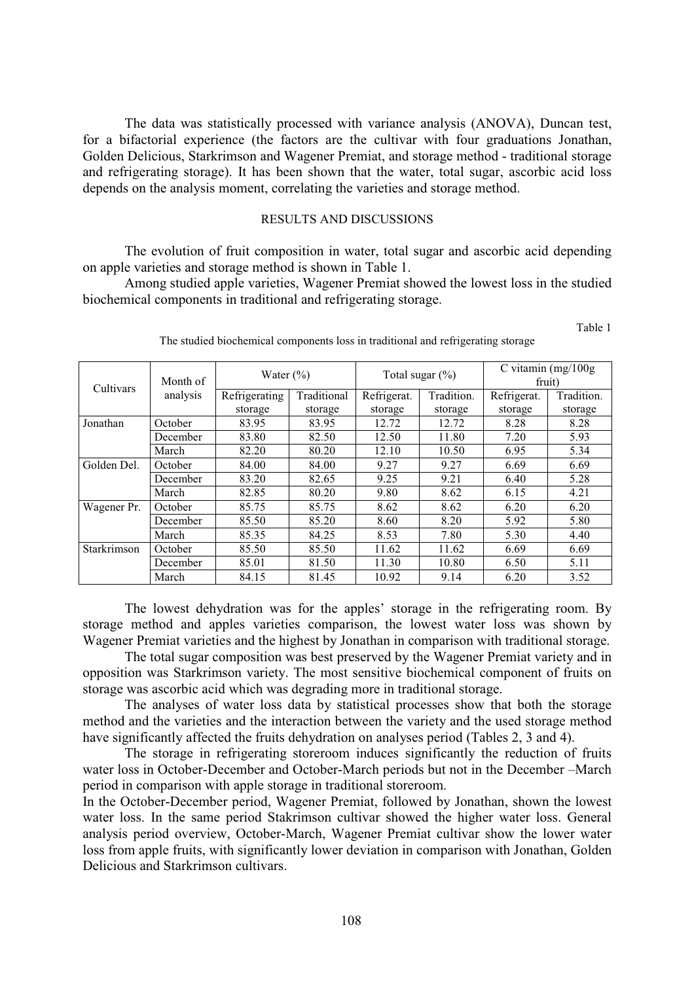The data was statistically processed with variance analysis (ANOVA), Duncan test, for a bifactorial experience (the factors are the cultivar with four graduations Jonathan, Golden Delicious, Starkrimson and Wagener Premiat, and storage method - traditional storage and refrigerating storage). It has been shown that the water, total sugar, ascorbic acid loss depends on the analysis moment, correlating the varieties and storage method.

#### RESULTS AND DISCUSSIONS

 The evolution of fruit composition in water, total sugar and ascorbic acid depending on apple varieties and storage method is shown in Table 1.

Among studied apple varieties, Wagener Premiat showed the lowest loss in the studied biochemical components in traditional and refrigerating storage.

| Cultivars   | Month of | Water $(\% )$ |             | Total sugar $(\%)$ |            | C vitamin $(mg/100g)$<br>fruit) |            |
|-------------|----------|---------------|-------------|--------------------|------------|---------------------------------|------------|
|             | analysis | Refrigerating | Traditional | Refrigerat.        | Tradition. | Refrigerat.                     | Tradition. |
|             |          | storage       | storage     | storage            | storage    | storage                         | storage    |
| Jonathan    | October  | 83.95         | 83.95       | 12.72              | 12.72      | 8.28                            | 8.28       |
|             | December | 83.80         | 82.50       | 12.50              | 11.80      | 7.20                            | 5.93       |
|             | March    | 82.20         | 80.20       | 12.10              | 10.50      | 6.95                            | 5.34       |
| Golden Del. | October  | 84.00         | 84.00       | 9.27               | 9.27       | 6.69                            | 6.69       |
|             | December | 83.20         | 82.65       | 9.25               | 9.21       | 6.40                            | 5.28       |
|             | March    | 82.85         | 80.20       | 9.80               | 8.62       | 6.15                            | 4.21       |
| Wagener Pr. | October  | 85.75         | 85.75       | 8.62               | 8.62       | 6.20                            | 6.20       |
|             | December | 85.50         | 85.20       | 8.60               | 8.20       | 5.92                            | 5.80       |
|             | March    | 85.35         | 84.25       | 8.53               | 7.80       | 5.30                            | 4.40       |
| Starkrimson | October  | 85.50         | 85.50       | 11.62              | 11.62      | 6.69                            | 6.69       |
|             | December | 85.01         | 81.50       | 11.30              | 10.80      | 6.50                            | 5.11       |
|             | March    | 84.15         | 81.45       | 10.92              | 9.14       | 6.20                            | 3.52       |

The studied biochemical components loss in traditional and refrigerating storage

Table 1

The lowest dehydration was for the apples' storage in the refrigerating room. By storage method and apples varieties comparison, the lowest water loss was shown by Wagener Premiat varieties and the highest by Jonathan in comparison with traditional storage.

The total sugar composition was best preserved by the Wagener Premiat variety and in opposition was Starkrimson variety. The most sensitive biochemical component of fruits on storage was ascorbic acid which was degrading more in traditional storage.

The analyses of water loss data by statistical processes show that both the storage method and the varieties and the interaction between the variety and the used storage method have significantly affected the fruits dehydration on analyses period (Tables 2, 3 and 4).

The storage in refrigerating storeroom induces significantly the reduction of fruits water loss in October-December and October-March periods but not in the December –March period in comparison with apple storage in traditional storeroom.

In the October-December period, Wagener Premiat, followed by Jonathan, shown the lowest water loss. In the same period Stakrimson cultivar showed the higher water loss. General analysis period overview, October-March, Wagener Premiat cultivar show the lower water loss from apple fruits, with significantly lower deviation in comparison with Jonathan, Golden Delicious and Starkrimson cultivars.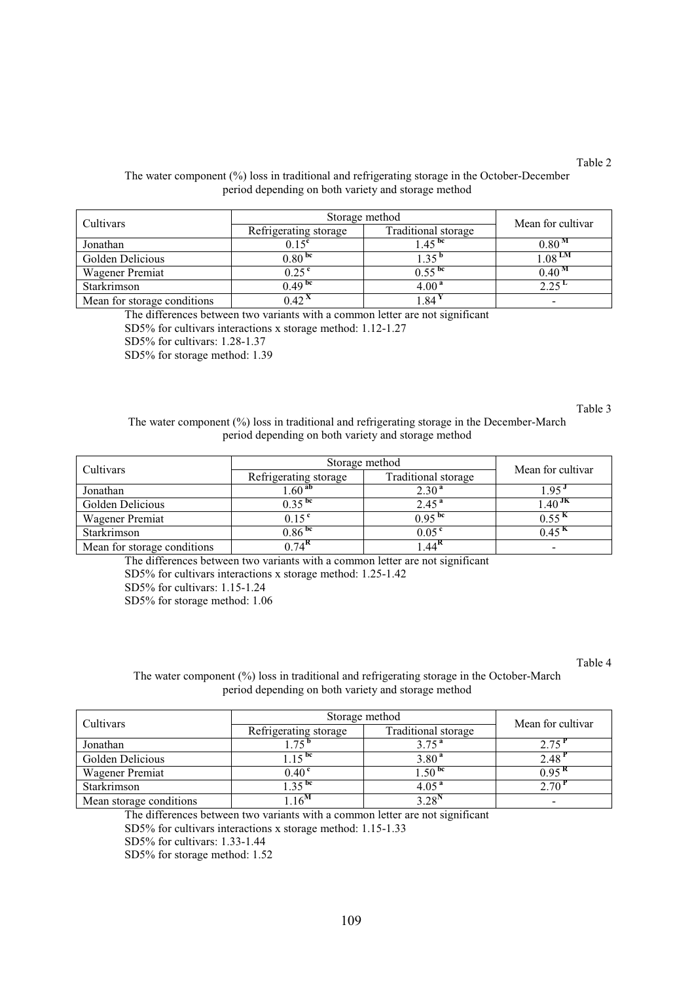## Table 2

| Cultivars                   | Storage method        | Mean for cultivar   |                       |
|-----------------------------|-----------------------|---------------------|-----------------------|
|                             | Refrigerating storage | Traditional storage |                       |
| Jonathan                    | $0.15^{\rm c}$        | $45^{bc}$           | 0.80 <sup>M</sup>     |
| Golden Delicious            | 0.80 <sup>bc</sup>    | -35                 | $1.08$ $^{\text{LN}}$ |
| Wagener Premiat             | $0.25^{\rm c}$        | $0.55^{bc}$         | 0.40 <sup>M</sup>     |
| Starkrimson                 | 0.49 <sup>bc</sup>    | 4.00 <sup>a</sup>   | 2.25 L                |
| Mean for storage conditions | (0.42)                | .84                 |                       |

#### The water component (%) loss in traditional and refrigerating storage in the October-December period depending on both variety and storage method

The differences between two variants with a common letter are not significant

SD5% for cultivars interactions x storage method: 1.12-1.27

SD5% for cultivars: 1.28-1.37

SD5% for storage method: 1.39

Table 3

#### The water component (%) loss in traditional and refrigerating storage in the December-March period depending on both variety and storage method

| Cultivars                   | Storage method        | Mean for cultivar   |                          |
|-----------------------------|-----------------------|---------------------|--------------------------|
|                             | Refrigerating storage | Traditional storage |                          |
| Jonathan                    | .60 <sup>ab</sup>     | 2.30 <sup>a</sup>   | $-95$                    |
| Golden Delicious            | $0.35^{bc}$           | $2.45^{\text{a}}$   | $40^{JK}$                |
| <b>Wagener Premiat</b>      | 0.15 <sup>c</sup>     | $0.95^{bc}$         | 0.55 <sup>K</sup>        |
| Starkrimson                 | 0.86 <sup>bc</sup>    | 0.05 <sup>e</sup>   | $0.45^{n}$               |
| Mean for storage conditions | $0.74$ <sup>K</sup>   | $AA^{\mathbf{K}}$   | $\overline{\phantom{0}}$ |

The differences between two variants with a common letter are not significant SD5% for cultivars interactions x storage method: 1.25-1.42 SD5% for cultivars: 1.15-1.24

SD5% for storage method: 1.06

Table 4

## The water component (%) loss in traditional and refrigerating storage in the October-March period depending on both variety and storage method

| Cultivars               | Storage method        | Mean for cultivar   |                   |  |
|-------------------------|-----------------------|---------------------|-------------------|--|
|                         | Refrigerating storage | Traditional storage |                   |  |
| Jonathan                | $75^{\circ}$          | 3.75 <sup>a</sup>   |                   |  |
| Golden Delicious        | $\zeta$ bc            | 3.80 <sup>a</sup>   | 2.48              |  |
| <b>Wagener Premiat</b>  | $0.40^{\circ}$        | $\sqrt{.50}$ bc     | 0.95 <sup>n</sup> |  |
| Starkrimson             | $\cdot$ 25 bc         | 4.05 <sup>4</sup>   |                   |  |
| Mean storage conditions | $6^{\rm{N}}$          | 2.20 <sup>N</sup>   |                   |  |

The differences between two variants with a common letter are not significant

SD5% for cultivars interactions x storage method: 1.15-1.33

SD5% for cultivars: 1.33-1.44

SD5% for storage method: 1.52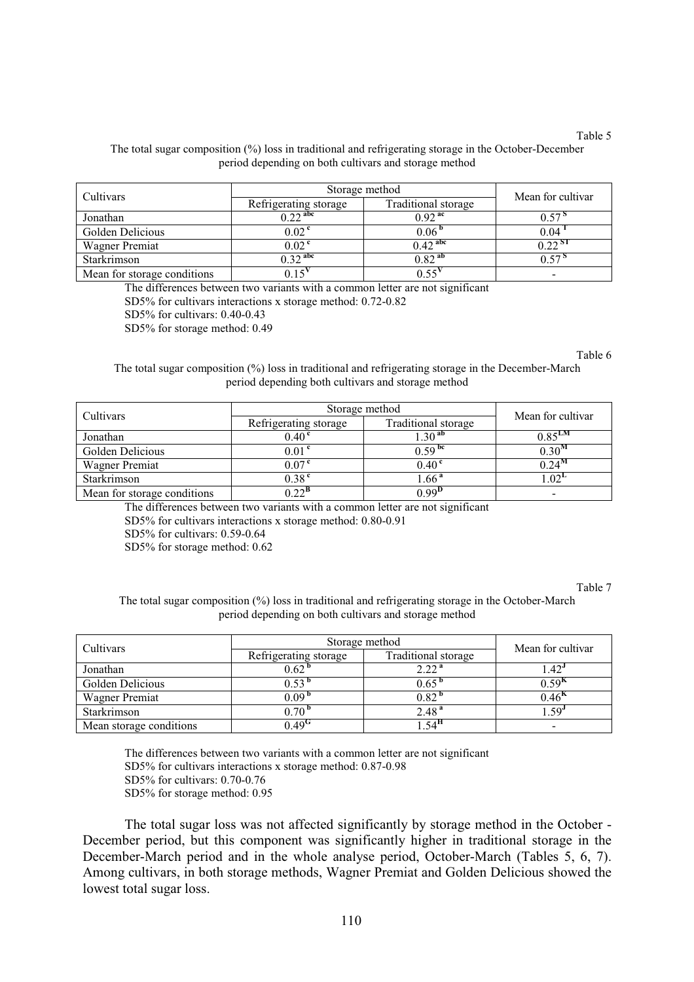#### The total sugar composition (%) loss in traditional and refrigerating storage in the October-December period depending on both cultivars and storage method

| Cultivars                   | Storage method        | Mean for cultivar     |         |  |
|-----------------------------|-----------------------|-----------------------|---------|--|
|                             | Refrigerating storage | Traditional storage   |         |  |
| Jonathan                    | $0.22$ <sup>abc</sup> | $0.92$ <sup>ac</sup>  | 0.57    |  |
| Golden Delicious            | 0.02 <sup>c</sup>     | 0.06 <sup>b</sup>     | 0.04    |  |
| <b>Wagner Premiat</b>       | 0.02 <sup>c</sup>     | $0.42$ <sup>abc</sup> | າ າາ sr |  |
| Starkrimson                 | $0.32$ <sup>abc</sup> | $0.82^{ab}$           | 0.57    |  |
| Mean for storage conditions |                       |                       |         |  |

The differences between two variants with a common letter are not significant SD5% for cultivars interactions x storage method: 0.72-0.82

SD5% for cultivars: 0.40-0.43

SD5% for storage method: 0.49

Table 6

Table 5

The total sugar composition (%) loss in traditional and refrigerating storage in the December-March period depending both cultivars and storage method

| Cultivars                   | Storage method        | Mean for cultivar   |                    |  |
|-----------------------------|-----------------------|---------------------|--------------------|--|
|                             | Refrigerating storage | Traditional storage |                    |  |
| Jonathan                    | 0.40 <sup>c</sup>     | $1.30^{ab}$         | $0.85^{\text{LM}}$ |  |
| Golden Delicious            | 0.01 <sup>c</sup>     | 0.59 <sup>bc</sup>  | $0.30^{M}$         |  |
| <b>Wagner Premiat</b>       | 0.07 <sup>c</sup>     | 0.40 <sup>c</sup>   | $0.24^M$           |  |
| Starkrimson                 | 0.38 <sup>c</sup>     | $1.66^{\,a}$        | 0.02 <sup>L</sup>  |  |
| Mean for storage conditions | ስ ንን <sup>B</sup>     | 0.99 <sup>D</sup>   |                    |  |

The differences between two variants with a common letter are not significant

SD5% for cultivars interactions x storage method: 0.80-0.91

SD5% for cultivars: 0.59-0.64

SD5% for storage method: 0.62

Table 7

The total sugar composition (%) loss in traditional and refrigerating storage in the October-March period depending on both cultivars and storage method

| Cultivars               | Storage method        | Mean for cultivar   |                   |  |
|-------------------------|-----------------------|---------------------|-------------------|--|
|                         | Refrigerating storage | Traditional storage |                   |  |
| Jonathan                | 0.62                  | 2.22 <sup>a</sup>   | .42 <sup>0</sup>  |  |
| Golden Delicious        | 1.53                  | $0.65$ <sup>0</sup> | 0.59 <sup>K</sup> |  |
| <b>Wagner Premiat</b>   | $0.09$ b              | $0.82$ $^{\rm o}$   | $0.46^{h}$        |  |
| Starkrimson             | $0.70$ $^{\rm o}$     | 2.48 <sup>a</sup>   | 59'               |  |
| Mean storage conditions | 0.49 <sup>G</sup>     | $5\pi$              |                   |  |

The differences between two variants with a common letter are not significant SD5% for cultivars interactions x storage method: 0.87-0.98 SD5% for cultivars: 0.70-0.76 SD5% for storage method: 0.95

The total sugar loss was not affected significantly by storage method in the October - December period, but this component was significantly higher in traditional storage in the December-March period and in the whole analyse period, October-March (Tables 5, 6, 7). Among cultivars, in both storage methods, Wagner Premiat and Golden Delicious showed the lowest total sugar loss.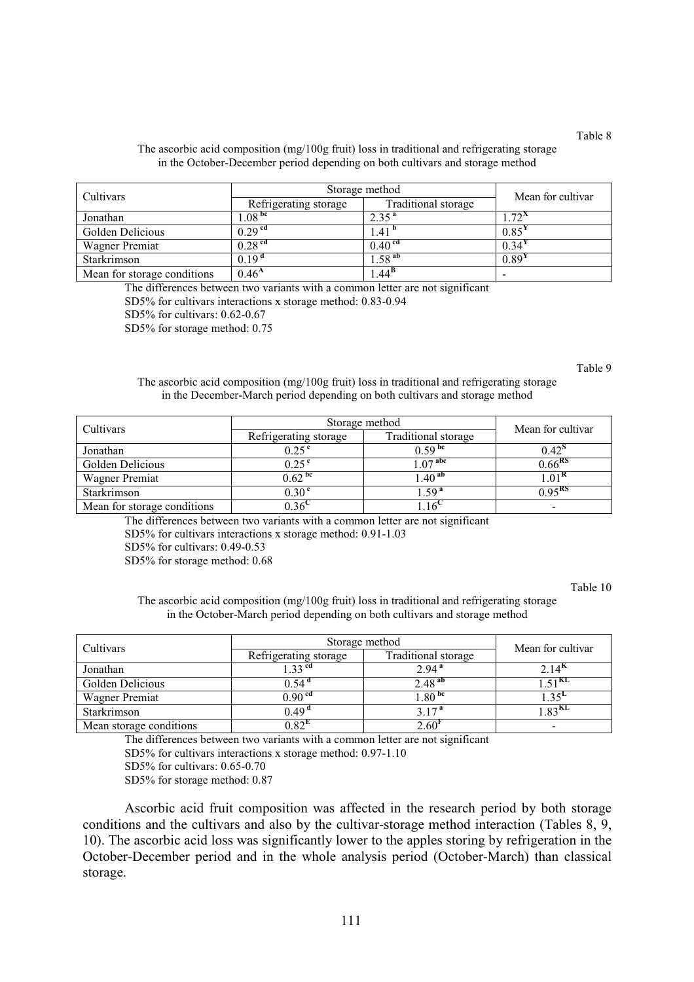## The ascorbic acid composition (mg/100g fruit) loss in traditional and refrigerating storage in the October-December period depending on both cultivars and storage method

| Cultivars                   | Storage method        |                     | Mean for cultivar |
|-----------------------------|-----------------------|---------------------|-------------------|
|                             | Refrigerating storage | Traditional storage |                   |
| Jonathan                    | $1.08^{bc}$           | 2.35 <sup>a</sup>   | $.72^{\circ}$     |
| Golden Delicious            | 0.29 <sup>cd</sup>    | 1.41 <sup>b</sup>   | 0.85'             |
| <b>Wagner Premiat</b>       | $0.28$ <sup>cd</sup>  | 0.40 <sup>cd</sup>  | 0.34'             |
| Starkrimson                 | 0.19 <sup>d</sup>     | .58 <sup>ab</sup>   | 0.89'             |
| Mean for storage conditions | 0.46 <sup>A</sup>     | $.44^{\rm b}$       |                   |

The differences between two variants with a common letter are not significant SD5% for cultivars interactions x storage method: 0.83-0.94

SD5% for cultivars: 0.62-0.67

SD5% for storage method: 0.75

#### Table 9

The ascorbic acid composition (mg/100g fruit) loss in traditional and refrigerating storage in the December-March period depending on both cultivars and storage method

| Cultivars                   | Storage method        | Mean for cultivar   |                          |  |
|-----------------------------|-----------------------|---------------------|--------------------------|--|
|                             | Refrigerating storage | Traditional storage |                          |  |
| Jonathan                    | 0.25 <sup>c</sup>     | $0.59$ bc           | $0.42^{\circ}$           |  |
| Golden Delicious            | 0.25 <sup>c</sup>     | $\bigcap$ $7^{abc}$ | $0.66^{R5}$              |  |
| <b>Wagner Premiat</b>       | 0.62 <sup>bc</sup>    | .40 <sup>ab</sup>   | $0.01^{\kappa}$          |  |
| Starkrimson                 | 0.30 <sup>c</sup>     | 1.59 <sup>a</sup>   | $0.95^{RS}$              |  |
| Mean for storage conditions | 0.36                  |                     | $\overline{\phantom{0}}$ |  |

The differences between two variants with a common letter are not significant

SD5% for cultivars interactions x storage method: 0.91-1.03

SD5% for cultivars: 0.49-0.53

SD5% for storage method: 0.68

Table 10

The ascorbic acid composition (mg/100g fruit) loss in traditional and refrigerating storage in the October-March period depending on both cultivars and storage method

| Cultivars               | Storage method        | Mean for cultivar   |                    |  |
|-------------------------|-----------------------|---------------------|--------------------|--|
|                         | Refrigerating storage | Traditional storage |                    |  |
| Jonathan                | 33 <sup>cd</sup>      | 2.94 <sup>a</sup>   | $4^{\circ}$        |  |
| Golden Delicious        | $0.54$ <sup>a</sup>   | $2.48^{ab}$         | .51 <sup>KL</sup>  |  |
| <b>Wagner Premiat</b>   | 0.90 <sup>cd</sup>    | 1.80 <sup>bc</sup>  | $0.35^{1}$         |  |
| Starkrimson             | 0.49 <sup>d</sup>     | 3 1 $7^{\rm a}$     | 0.83 <sup>KL</sup> |  |
| Mean storage conditions | በ ጸን <sup>ዘ</sup>     | 2.60'               | $\sim$             |  |

The differences between two variants with a common letter are not significant

SD5% for cultivars interactions x storage method: 0.97-1.10

SD5% for cultivars: 0.65-0.70

SD5% for storage method: 0.87

 Ascorbic acid fruit composition was affected in the research period by both storage conditions and the cultivars and also by the cultivar-storage method interaction (Tables 8, 9, 10). The ascorbic acid loss was significantly lower to the apples storing by refrigeration in the October-December period and in the whole analysis period (October-March) than classical storage.

Table 8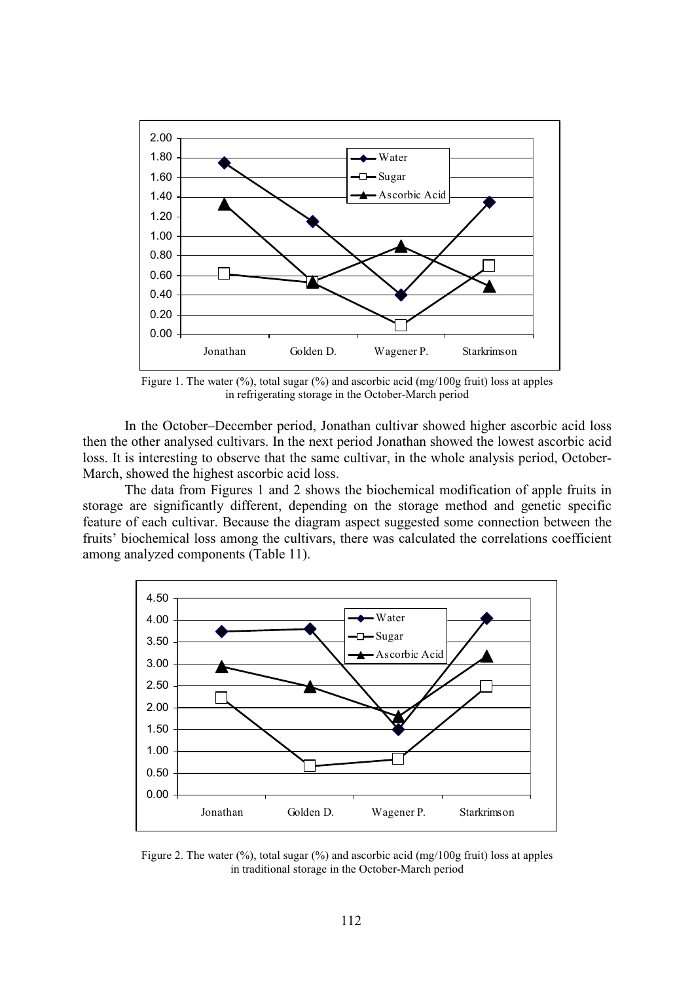

Figure 1. The water  $(\%)$ , total sugar  $(\%)$  and ascorbic acid (mg/100g fruit) loss at apples in refrigerating storage in the October-March period

In the October–December period, Jonathan cultivar showed higher ascorbic acid loss then the other analysed cultivars. In the next period Jonathan showed the lowest ascorbic acid loss. It is interesting to observe that the same cultivar, in the whole analysis period, October-March, showed the highest ascorbic acid loss.

The data from Figures 1 and 2 shows the biochemical modification of apple fruits in storage are significantly different, depending on the storage method and genetic specific feature of each cultivar. Because the diagram aspect suggested some connection between the fruits' biochemical loss among the cultivars, there was calculated the correlations coefficient among analyzed components (Table 11).



Figure 2. The water  $(\%)$ , total sugar  $(\%)$  and ascorbic acid (mg/100g fruit) loss at apples in traditional storage in the October-March period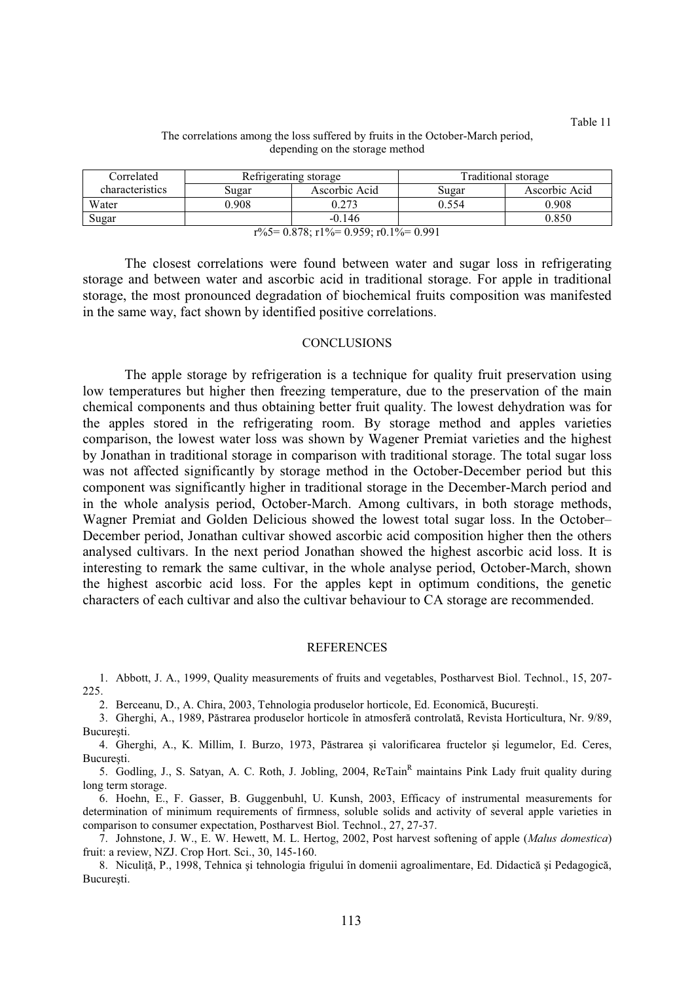Correlated Refrigerating storage Traditional storage characteristics Sugar Ascorbic Acid Sugar Ascorbic Acid Water  $0.908$  0.273 0.554 0.908 Sugar  $\begin{array}{|c|c|c|c|c|c|c|c|} \hline \text{Sugar} & & -0.146 & & & & 0.850 \ \hline \end{array}$  $r\%5=0.878$ ;  $r1\%=0.959$ ;  $r0.1\%=0.991$ 

## The correlations among the loss suffered by fruits in the October-March period, depending on the storage method

The closest correlations were found between water and sugar loss in refrigerating storage and between water and ascorbic acid in traditional storage. For apple in traditional storage, the most pronounced degradation of biochemical fruits composition was manifested in the same way, fact shown by identified positive correlations.

# **CONCLUSIONS**

The apple storage by refrigeration is a technique for quality fruit preservation using low temperatures but higher then freezing temperature, due to the preservation of the main chemical components and thus obtaining better fruit quality. The lowest dehydration was for the apples stored in the refrigerating room. By storage method and apples varieties comparison, the lowest water loss was shown by Wagener Premiat varieties and the highest by Jonathan in traditional storage in comparison with traditional storage. The total sugar loss was not affected significantly by storage method in the October-December period but this component was significantly higher in traditional storage in the December-March period and in the whole analysis period, October-March. Among cultivars, in both storage methods, Wagner Premiat and Golden Delicious showed the lowest total sugar loss. In the October– December period, Jonathan cultivar showed ascorbic acid composition higher then the others analysed cultivars. In the next period Jonathan showed the highest ascorbic acid loss. It is interesting to remark the same cultivar, in the whole analyse period, October-March, shown the highest ascorbic acid loss. For the apples kept in optimum conditions, the genetic characters of each cultivar and also the cultivar behaviour to CA storage are recommended.

## **REFERENCES**

1. Abbott, J. A., 1999, Quality measurements of fruits and vegetables, Postharvest Biol. Technol., 15, 207- 225.

2. Berceanu, D., A. Chira, 2003, Tehnologia produselor horticole, Ed. Economică, Bucureşti.

3. Gherghi, A., 1989, Păstrarea produselor horticole în atmosferă controlată, Revista Horticultura, Nr. 9/89, Bucureşti.

4. Gherghi, A., K. Millim, I. Burzo, 1973, Păstrarea şi valorificarea fructelor şi legumelor, Ed. Ceres, Bucureşti.

5. Godling, J., S. Satyan, A. C. Roth, J. Jobling, 2004, ReTain<sup>R</sup> maintains Pink Lady fruit quality during long term storage.

6. Hoehn, E., F. Gasser, B. Guggenbuhl, U. Kunsh, 2003, Efficacy of instrumental measurements for determination of minimum requirements of firmness, soluble solids and activity of several apple varieties in comparison to consumer expectation, Postharvest Biol. Technol., 27, 27-37.

7. Johnstone, J. W., E. W. Hewett, M. L. Hertog, 2002, Post harvest softening of apple (Malus domestica) fruit: a review, NZJ. Crop Hort. Sci., 30, 145-160.

8. Niculiță, P., 1998, Tehnica și tehnologia frigului în domenii agroalimentare, Ed. Didactică și Pedagogică, București.

Table 11